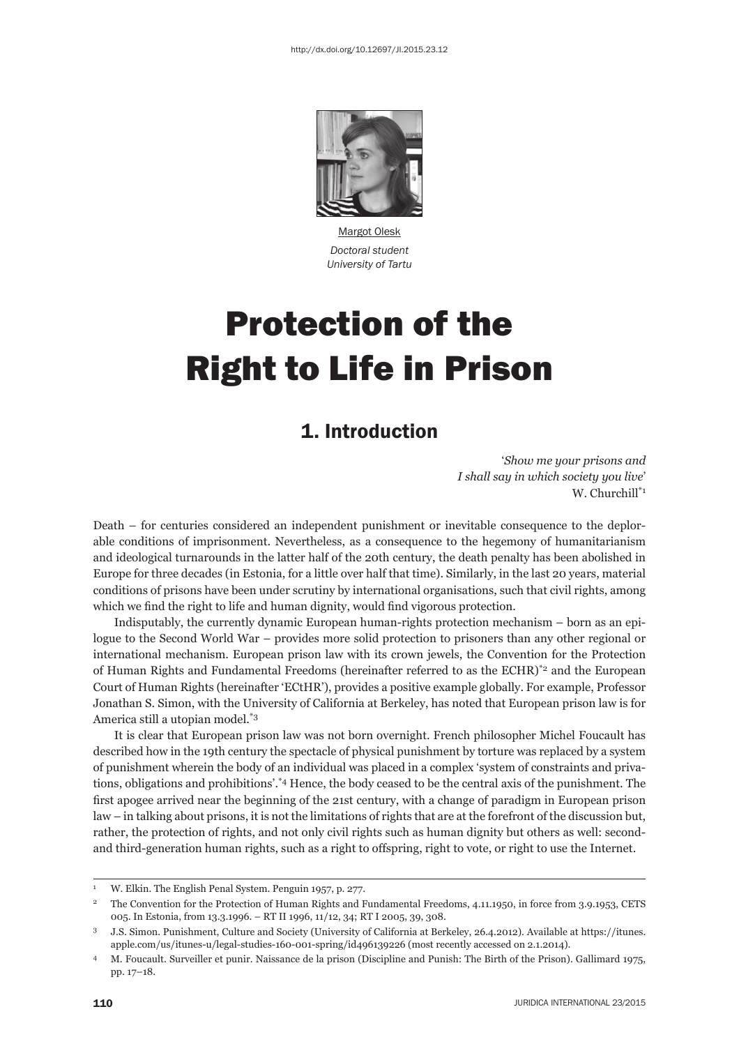

Margot Olesk *Doctoral student University of Tartu*

# Protection of the Right to Life in Prison

# 1. Introduction

'*Show me your prisons and I shall say in which society you live*' W. Churchill<sup>\*1</sup>

Death – for centuries considered an independent punishment or inevitable consequence to the deplorable conditions of imprisonment. Nevertheless, as a consequence to the hegemony of humanitarianism and ideological turnarounds in the latter half of the 20th century, the death penalty has been abolished in Europe for three decades (in Estonia, for a little over half that time). Similarly, in the last 20 years, material conditions of prisons have been under scrutiny by international organisations, such that civil rights, among which we find the right to life and human dignity, would find vigorous protection.

Indisputably, the currently dynamic European human-rights protection mechanism – born as an epilogue to the Second World War – provides more solid protection to prisoners than any other regional or international mechanism. European prison law with its crown jewels, the Convention for the Protection of Human Rights and Fundamental Freedoms (hereinafter referred to as the ECHR)<sup>\*2</sup> and the European Court of Human Rights (hereinafter 'ECtHR'), provides a positive example globally. For example, Professor Jonathan S. Simon, with the University of California at Berkeley, has noted that European prison law is for America still a utopian model.\*3

It is clear that European prison law was not born overnight. French philosopher Michel Foucault has described how in the 19th century the spectacle of physical punishment by torture was replaced by a system of punishment wherein the body of an individual was placed in a complex 'system of constraints and privations, obligations and prohibitions'.\*4 Hence, the body ceased to be the central axis of the punishment. The first apogee arrived near the beginning of the 21st century, with a change of paradigm in European prison law – in talking about prisons, it is not the limitations of rights that are at the forefront of the discussion but, rather, the protection of rights, and not only civil rights such as human dignity but others as well: secondand third-generation human rights, such as a right to offspring, right to vote, or right to use the Internet.

<sup>1</sup> W. Elkin. The English Penal System. Penguin 1957, p. 277.

<sup>&</sup>lt;sup>2</sup> The Convention for the Protection of Human Rights and Fundamental Freedoms, 4.11.1950, in force from 3.9.1953, CETS 005. In Estonia, from 13.3.1996. – RT II 1996, 11/12, 34; RT I 2005, 39, 308.

<sup>3</sup> J.S. Simon. Punishment, Culture and Society (University of California at Berkeley, 26.4.2012). Available at https://itunes. apple.com/us/itunes-u/legal-studies-160-001-spring/id496139226 (most recently accessed on 2.1.2014).

<sup>4</sup> M. Foucault. Surveiller et punir. Naissance de la prison (Discipline and Punish: The Birth of the Prison). Gallimard 1975, pp. 17–18.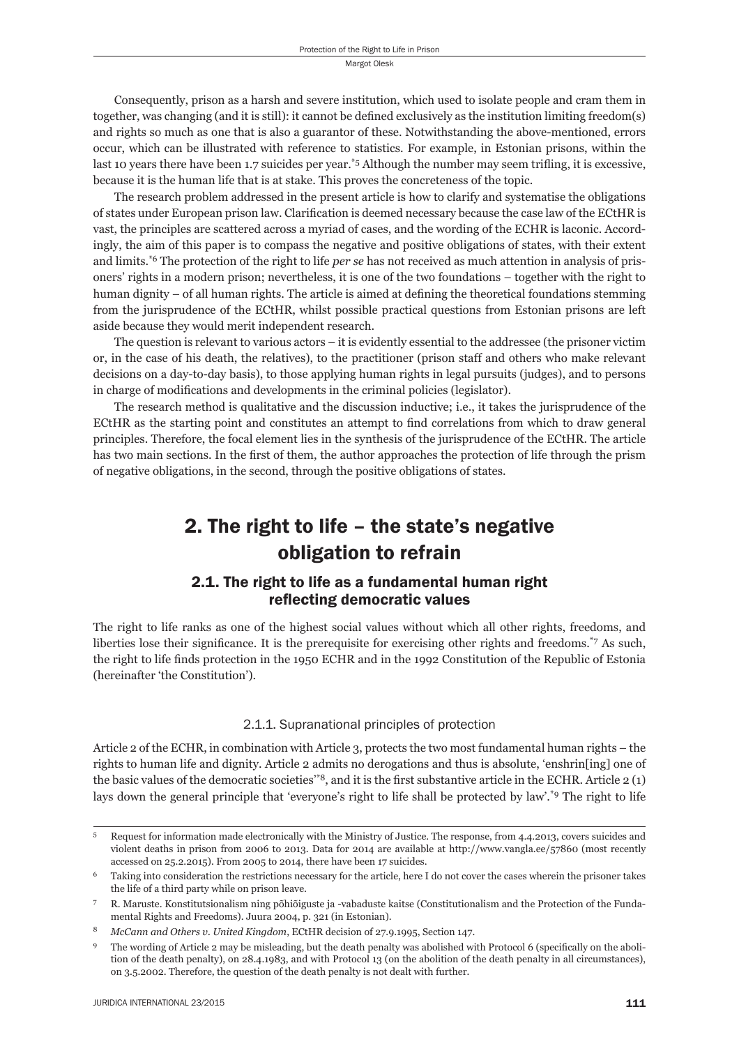Consequently, prison as a harsh and severe institution, which used to isolate people and cram them in together, was changing (and it is still): it cannot be defined exclusively as the institution limiting freedom(s) and rights so much as one that is also a guarantor of these. Notwithstanding the above-mentioned, errors occur, which can be illustrated with reference to statistics. For example, in Estonian prisons, within the last 10 years there have been 1.7 suicides per year.<sup>\*5</sup> Although the number may seem trifling, it is excessive, because it is the human life that is at stake. This proves the concreteness of the topic.

The research problem addressed in the present article is how to clarify and systematise the obligations of states under European prison law. Clarification is deemed necessary because the case law of the ECtHR is vast, the principles are scattered across a myriad of cases, and the wording of the ECHR is laconic. Accordingly, the aim of this paper is to compass the negative and positive obligations of states, with their extent and limits.\*6 The protection of the right to life *per se* has not received as much attention in analysis of prisoners' rights in a modern prison; nevertheless, it is one of the two foundations – together with the right to human dignity – of all human rights. The article is aimed at defining the theoretical foundations stemming from the jurisprudence of the ECtHR, whilst possible practical questions from Estonian prisons are left aside because they would merit independent research.

The question is relevant to various actors – it is evidently essential to the addressee (the prisoner victim or, in the case of his death, the relatives), to the practitioner (prison staff and others who make relevant decisions on a day-to-day basis), to those applying human rights in legal pursuits (judges), and to persons in charge of modifications and developments in the criminal policies (legislator).

The research method is qualitative and the discussion inductive; i.e., it takes the jurisprudence of the ECTHR as the starting point and constitutes an attempt to find correlations from which to draw general principles. Therefore, the focal element lies in the synthesis of the jurisprudence of the ECtHR. The article has two main sections. In the first of them, the author approaches the protection of life through the prism of negative obligations, in the second, through the positive obligations of states.

# 2. The right to life – the state's negative obligation to refrain

## 2.1. The right to life as a fundamental human right reflecting democratic values

The right to life ranks as one of the highest social values without which all other rights, freedoms, and liberties lose their significance. It is the prerequisite for exercising other rights and freedoms. $\frac{*}{2}$  As such, the right to life finds protection in the 1950 ECHR and in the 1992 Constitution of the Republic of Estonia (hereinafter 'the Constitution').

### 2.1.1. Supranational principles of protection

Article 2 of the ECHR, in combination with Article 3, protects the two most fundamental human rights – the rights to human life and dignity. Article 2 admits no derogations and thus is absolute, 'enshrin[ing] one of the basic values of the democratic societies<sup>\*8</sup>, and it is the first substantive article in the ECHR. Article  $2(1)$ lays down the general principle that 'everyone's right to life shall be protected by law'.\*9 The right to life

<sup>5</sup> Request for information made electronically with the Ministry of Justice. The response, from 4.4.2013, covers suicides and violent deaths in prison from 2006 to 2013. Data for 2014 are available at http://www.vangla.ee/57860 (most recently accessed on 25.2.2015). From 2005 to 2014, there have been 17 suicides.

Taking into consideration the restrictions necessary for the article, here I do not cover the cases wherein the prisoner takes the life of a third party while on prison leave.

<sup>7</sup> R. Maruste. Konstitutsionalism ning põhiõiguste ja -vabaduste kaitse (Constitutionalism and the Protection of the Fundamental Rights and Freedoms). Juura 2004, p. 321 (in Estonian).

<sup>8</sup> *McCann and Others v. United Kingdom*, ECtHR decision of 27.9.1995, Section 147.

The wording of Article 2 may be misleading, but the death penalty was abolished with Protocol 6 (specifically on the abolition of the death penalty), on 28.4.1983, and with Protocol 13 (on the abolition of the death penalty in all circumstances), on 3.5.2002. Therefore, the question of the death penalty is not dealt with further.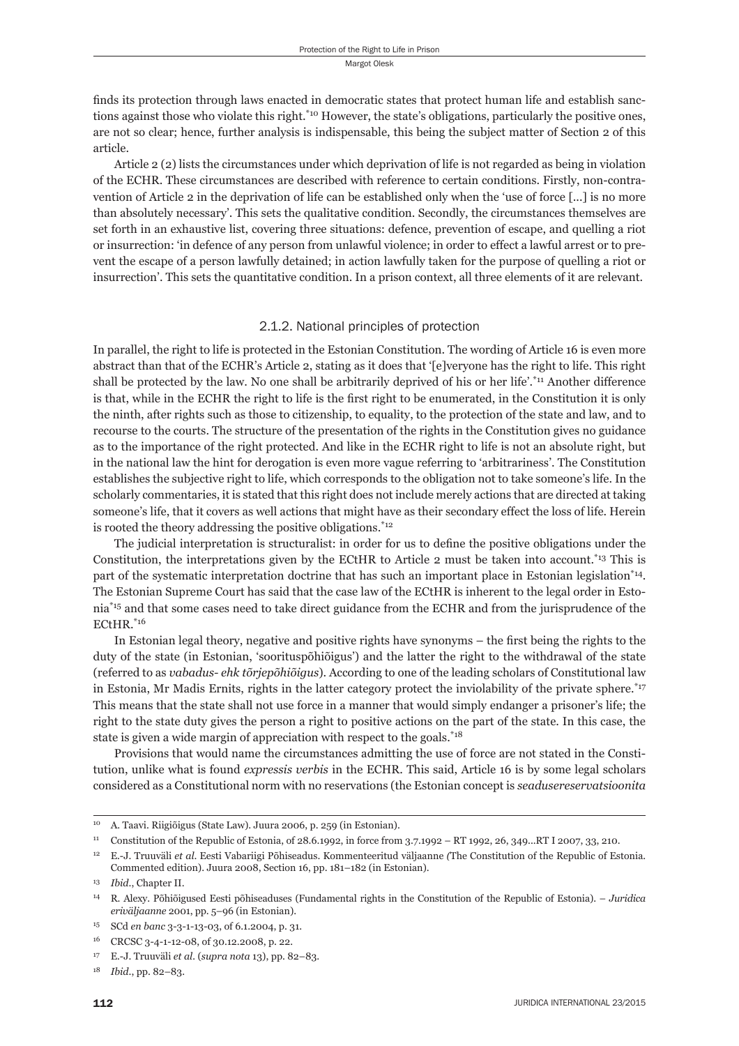finds its protection through laws enacted in democratic states that protect human life and establish sanctions against those who violate this right.\*10 However, the state's obligations, particularly the positive ones, are not so clear; hence, further analysis is indispensable, this being the subject matter of Section 2 of this article.

Article 2 (2) lists the circumstances under which deprivation of life is not regarded as being in violation of the ECHR. These circumstances are described with reference to certain conditions. Firstly, non-contravention of Article 2 in the deprivation of life can be established only when the 'use of force [...] is no more than absolutely necessary'. This sets the qualitative condition. Secondly, the circumstances themselves are set forth in an exhaustive list, covering three situations: defence, prevention of escape, and quelling a riot or insurrection: 'in defence of any person from unlawful violence; in order to effect a lawful arrest or to prevent the escape of a person lawfully detained; in action lawfully taken for the purpose of quelling a riot or insurrection'. This sets the quantitative condition. In a prison context, all three elements of it are relevant.

### 2.1.2. National principles of protection

In parallel, the right to life is protected in the Estonian Constitution. The wording of Article 16 is even more abstract than that of the ECHR's Article 2, stating as it does that '[e]veryone has the right to life. This right shall be protected by the law. No one shall be arbitrarily deprived of his or her life'.\*11 Another difference is that, while in the ECHR the right to life is the first right to be enumerated, in the Constitution it is only the ninth, after rights such as those to citizenship, to equality, to the protection of the state and law, and to recourse to the courts. The structure of the presentation of the rights in the Constitution gives no guidance as to the importance of the right protected. And like in the ECHR right to life is not an absolute right, but in the national law the hint for derogation is even more vague referring to 'arbitrariness'. The Constitution establishes the subjective right to life, which corresponds to the obligation not to take someone's life. In the scholarly commentaries, it is stated that this right does not include merely actions that are directed at taking someone's life, that it covers as well actions that might have as their secondary effect the loss of life. Herein is rooted the theory addressing the positive obligations.\*12

The judicial interpretation is structuralist: in order for us to define the positive obligations under the Constitution, the interpretations given by the ECtHR to Article 2 must be taken into account.\*13 This is part of the systematic interpretation doctrine that has such an important place in Estonian legislation<sup>\*14</sup>. The Estonian Supreme Court has said that the case law of the ECtHR is inherent to the legal order in Estonia\*15 and that some cases need to take direct guidance from the ECHR and from the jurisprudence of the ECtHR.\*16

In Estonian legal theory, negative and positive rights have synonyms – the first being the rights to the duty of the state (in Estonian, 'soorituspõhiõigus') and the latter the right to the withdrawal of the state (referred to as *vabadus- ehk tõrjepõhiõigus*). According to one of the leading scholars of Constitutional law in Estonia, Mr Madis Ernits, rights in the latter category protect the inviolability of the private sphere.\*17 This means that the state shall not use force in a manner that would simply endanger a prisoner's life; the right to the state duty gives the person a right to positive actions on the part of the state. In this case, the state is given a wide margin of appreciation with respect to the goals.<sup>\*18</sup>

Provisions that would name the circumstances admitting the use of force are not stated in the Constitution, unlike what is found *expressis verbis* in the ECHR. This said, Article 16 is by some legal scholars considered as a Constitutional norm with no reservations (the Estonian concept is *seadusereservatsioonita* 

<sup>10</sup> A. Taavi. Riigiõigus (State Law). Juura 2006, p. 259 (in Estonian).

<sup>11</sup> Constitution of the Republic of Estonia, of 28.6.1992, in force from 3.7.1992 – RT 1992, 26, 349...RT I 2007, 33, 210.

<sup>12</sup> E.-J. Truuväli *et al*. Eesti Vabariigi Põhiseadus. Kommenteeritud väljaanne *(*The Constitution of the Republic of Estonia. Commented edition). Juura 2008, Section 16, pp. 181–182 (in Estonian).

<sup>13</sup> *Ibid*., Chapter II.

<sup>14</sup> R. Alexy. Põhiõigused Eesti põhiseaduses (Fundamental rights in the Constitution of the Republic of Estonia). – *Juridica eriväljaanne* 2001, pp. 5–96 (in Estonian).

<sup>15</sup> SCd *en banc* 3-3-1-13-03, of 6.1.2004, p. 31.

<sup>16</sup> CRCSC 3-4-1-12-08, of 30.12.2008, p. 22.

<sup>17</sup> E.-J. Truuväli *et al.* (*supra nota* 13), pp. 82–83.

<sup>18</sup> *Ibid*., pp. 82–83.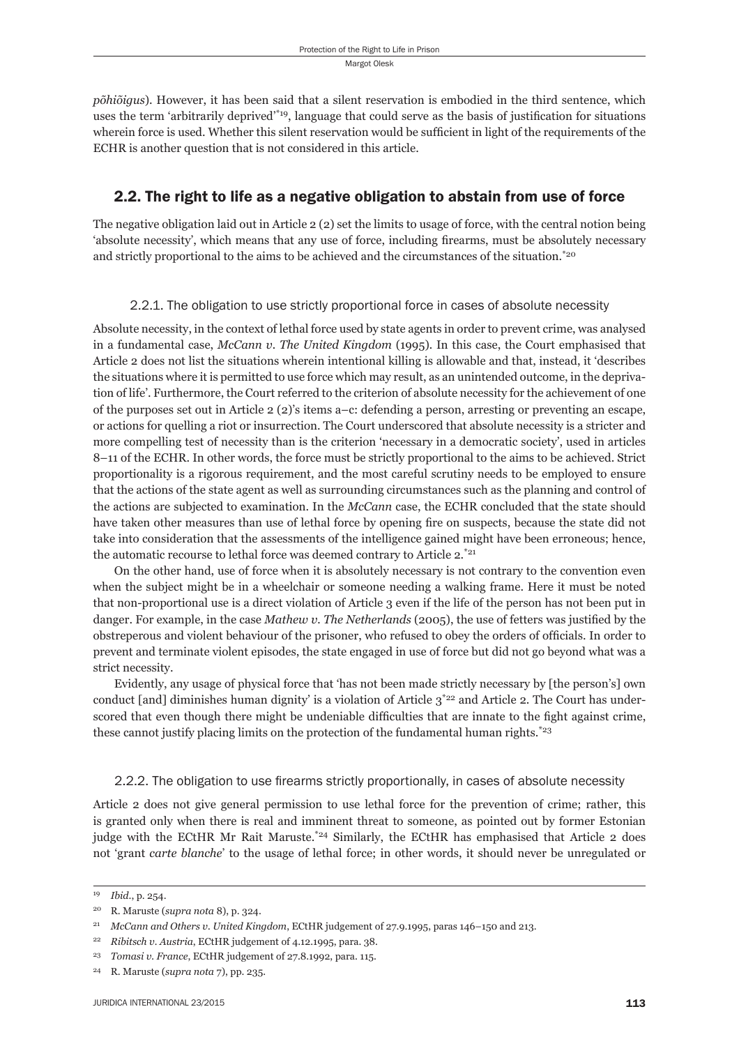*põhiõigus*). However, it has been said that a silent reservation is embodied in the third sentence, which uses the term 'arbitrarily deprived'<sup>\*19</sup>, language that could serve as the basis of justification for situations wherein force is used. Whether this silent reservation would be sufficient in light of the requirements of the ECHR is another question that is not considered in this article.

# 2.2. The right to life as a negative obligation to abstain from use of force

The negative obligation laid out in Article 2 (2) set the limits to usage of force, with the central notion being 'absolute necessity', which means that any use of force, including firearms, must be absolutely necessary and strictly proportional to the aims to be achieved and the circumstances of the situation.\*20

### 2.2.1. The obligation to use strictly proportional force in cases of absolute necessity

Absolute necessity, in the context of lethal force used by state agents in order to prevent crime, was analysed in a fundamental case, *McCann v. The United Kingdom* (1995)*.* In this case, the Court emphasised that Article 2 does not list the situations wherein intentional killing is allowable and that, instead, it 'describes the situations where it is permitted to use force which may result, as an unintended outcome, in the deprivation of life'. Furthermore, the Court referred to the criterion of absolute necessity for the achievement of one of the purposes set out in Article 2 (2)'s items a–c: defending a person, arresting or preventing an escape, or actions for quelling a riot or insurrection. The Court underscored that absolute necessity is a stricter and more compelling test of necessity than is the criterion 'necessary in a democratic society', used in articles 8–11 of the ECHR. In other words, the force must be strictly proportional to the aims to be achieved. Strict proportionality is a rigorous requirement, and the most careful scrutiny needs to be employed to ensure that the actions of the state agent as well as surrounding circumstances such as the planning and control of the actions are subjected to examination. In the *McCann* case, the ECHR concluded that the state should have taken other measures than use of lethal force by opening fire on suspects, because the state did not take into consideration that the assessments of the intelligence gained might have been erroneous; hence, the automatic recourse to lethal force was deemed contrary to Article 2.\*21

On the other hand, use of force when it is absolutely necessary is not contrary to the convention even when the subject might be in a wheelchair or someone needing a walking frame. Here it must be noted that non-proportional use is a direct violation of Article 3 even if the life of the person has not been put in danger. For example, in the case *Mathew v. The Netherlands* (2005), the use of fetters was justified by the obstreperous and violent behaviour of the prisoner, who refused to obey the orders of officials. In order to prevent and terminate violent episodes, the state engaged in use of force but did not go beyond what was a strict necessity.

Evidently, any usage of physical force that 'has not been made strictly necessary by [the person's] own conduct [and] diminishes human dignity' is a violation of Article  $3<sup>*</sup>22$  and Article 2. The Court has underscored that even though there might be undeniable difficulties that are innate to the fight against crime, these cannot justify placing limits on the protection of the fundamental human rights.<sup>\*23</sup>

### 2.2.2. The obligation to use firearms strictly proportionally, in cases of absolute necessity

Article 2 does not give general permission to use lethal force for the prevention of crime; rather, this is granted only when there is real and imminent threat to someone, as pointed out by former Estonian judge with the ECtHR Mr Rait Maruste.\*24 Similarly, the ECtHR has emphasised that Article 2 does not 'grant *carte blanche*' to the usage of lethal force; in other words, it should never be unregulated or

<sup>19</sup> *Ibid*., p. 254.

<sup>20</sup> R. Maruste (*supra nota* 8), p. 324.

<sup>21</sup> *McCann and Others v. United Kingdom*, ECtHR judgement of 27.9.1995, paras 146–150 and 213.

<sup>22</sup> *Ribitsch v. Austria*, ECtHR judgement of 4.12.1995, para. 38.

<sup>23</sup> *Tomasi v. France*, ECtHR judgement of 27.8.1992, para. 115.

<sup>24</sup> R. Maruste (*supra nota* 7), pp. 235.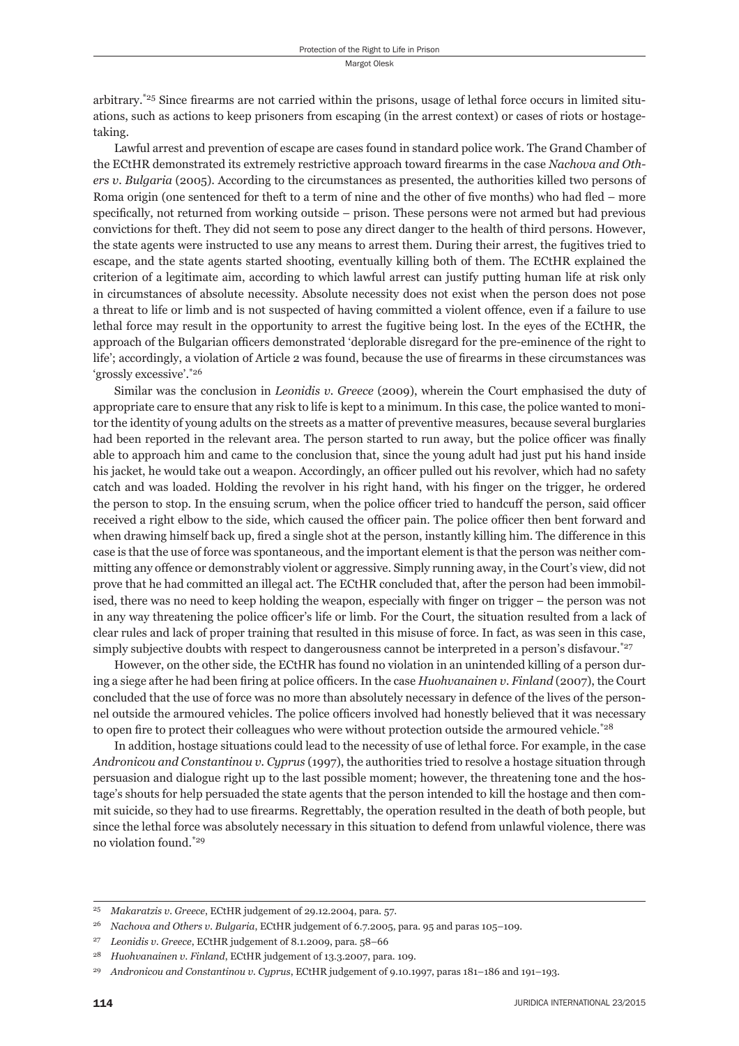arbitrary.<sup>\*25</sup> Since firearms are not carried within the prisons, usage of lethal force occurs in limited situations, such as actions to keep prisoners from escaping (in the arrest context) or cases of riots or hostagetaking.

Lawful arrest and prevention of escape are cases found in standard police work. The Grand Chamber of the ECtHR demonstrated its extremely restrictive approach toward firearms in the case *Nachova and Others v. Bulgaria* (2005). According to the circumstances as presented, the authorities killed two persons of Roma origin (one sentenced for theft to a term of nine and the other of five months) who had fled – more specifically, not returned from working outside – prison. These persons were not armed but had previous convictions for theft. They did not seem to pose any direct danger to the health of third persons. However, the state agents were instructed to use any means to arrest them. During their arrest, the fugitives tried to escape, and the state agents started shooting, eventually killing both of them. The ECtHR explained the criterion of a legitimate aim, according to which lawful arrest can justify putting human life at risk only in circumstances of absolute necessity. Absolute necessity does not exist when the person does not pose a threat to life or limb and is not suspected of having committed a violent offence, even if a failure to use lethal force may result in the opportunity to arrest the fugitive being lost. In the eyes of the ECtHR, the approach of the Bulgarian officers demonstrated 'deplorable disregard for the pre-eminence of the right to life'; accordingly, a violation of Article 2 was found, because the use of firearms in these circumstances was 'grossly excessive'.\*26

Similar was the conclusion in *Leonidis v. Greece* (2009), wherein the Court emphasised the duty of appropriate care to ensure that any risk to life is kept to a minimum. In this case, the police wanted to monitor the identity of young adults on the streets as a matter of preventive measures, because several burglaries had been reported in the relevant area. The person started to run away, but the police officer was finally able to approach him and came to the conclusion that, since the young adult had just put his hand inside his jacket, he would take out a weapon. Accordingly, an officer pulled out his revolver, which had no safety catch and was loaded. Holding the revolver in his right hand, with his finger on the trigger, he ordered the person to stop. In the ensuing scrum, when the police officer tried to handcuff the person, said officer received a right elbow to the side, which caused the officer pain. The police officer then bent forward and when drawing himself back up, fired a single shot at the person, instantly killing him. The difference in this case is that the use of force was spontaneous, and the important element is that the person was neither committing any offence or demonstrably violent or aggressive. Simply running away, in the Court's view, did not prove that he had committed an illegal act. The ECtHR concluded that, after the person had been immobilised, there was no need to keep holding the weapon, especially with finger on trigger – the person was not in any way threatening the police officer's life or limb. For the Court, the situation resulted from a lack of clear rules and lack of proper training that resulted in this misuse of force. In fact, as was seen in this case, simply subjective doubts with respect to dangerousness cannot be interpreted in a person's disfavour.\*27

However, on the other side, the ECtHR has found no violation in an unintended killing of a person during a siege after he had been firing at police officers. In the case *Huohvanainen v. Finland* (2007), the Court concluded that the use of force was no more than absolutely necessary in defence of the lives of the personnel outside the armoured vehicles. The police officers involved had honestly believed that it was necessary to open fire to protect their colleagues who were without protection outside the armoured vehicle.<sup>\*28</sup>

In addition, hostage situations could lead to the necessity of use of lethal force. For example, in the case *Andronicou and Constantinou v. Cyprus* (1997), the authorities tried to resolve a hostage situation through persuasion and dialogue right up to the last possible moment; however, the threatening tone and the hostage's shouts for help persuaded the state agents that the person intended to kill the hostage and then commit suicide, so they had to use firearms. Regrettably, the operation resulted in the death of both people, but since the lethal force was absolutely necessary in this situation to defend from unlawful violence, there was no violation found.\*29

<sup>25</sup> *Makaratzis v. Greece*, ECtHR judgement of 29.12.2004, para. 57.

<sup>26</sup> *Nachova and Others v. Bulgaria*, ECtHR judgement of 6.7.2005, para. 95 and paras 105–109.

<sup>27</sup> *Leonidis v. Greece*, ECtHR judgement of 8.1.2009, para. 58–66

<sup>28</sup> *Huohvanainen v. Finland*, ECtHR judgement of 13.3.2007, para. 109.

<sup>29</sup> *Andronicou and Constantinou v. Cyprus*, ECtHR judgement of 9.10.1997, paras 181–186 and 191–193.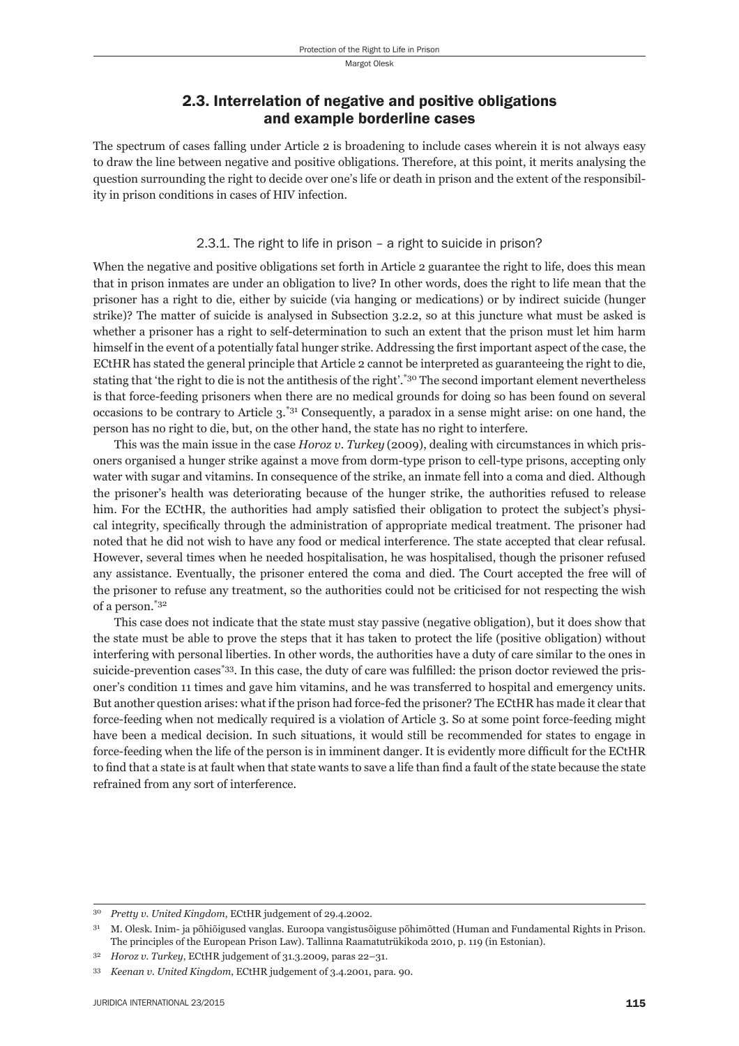## 2.3. Interrelation of negative and positive obligations and example borderline cases

The spectrum of cases falling under Article 2 is broadening to include cases wherein it is not always easy to draw the line between negative and positive obligations. Therefore, at this point, it merits analysing the question surrounding the right to decide over one's life or death in prison and the extent of the responsibility in prison conditions in cases of HIV infection.

### 2.3.1. The right to life in prison – a right to suicide in prison?

When the negative and positive obligations set forth in Article 2 guarantee the right to life, does this mean that in prison inmates are under an obligation to live? In other words, does the right to life mean that the prisoner has a right to die, either by suicide (via hanging or medications) or by indirect suicide (hunger strike)? The matter of suicide is analysed in Subsection 3.2.2, so at this juncture what must be asked is whether a prisoner has a right to self-determination to such an extent that the prison must let him harm himself in the event of a potentially fatal hunger strike. Addressing the first important aspect of the case, the ECtHR has stated the general principle that Article 2 cannot be interpreted as guaranteeing the right to die, stating that 'the right to die is not the antithesis of the right'.<sup>\*30</sup> The second important element nevertheless is that force-feeding prisoners when there are no medical grounds for doing so has been found on several occasions to be contrary to Article 3.\*31 Consequently, a paradox in a sense might arise: on one hand, the person has no right to die, but, on the other hand, the state has no right to interfere.

This was the main issue in the case *Horoz v. Turkey* (2009), dealing with circumstances in which prisoners organised a hunger strike against a move from dorm-type prison to cell-type prisons, accepting only water with sugar and vitamins. In consequence of the strike, an inmate fell into a coma and died. Although the prisoner's health was deteriorating because of the hunger strike, the authorities refused to release him. For the ECtHR, the authorities had amply satisfied their obligation to protect the subject's physical integrity, specifically through the administration of appropriate medical treatment. The prisoner had noted that he did not wish to have any food or medical interference. The state accepted that clear refusal. However, several times when he needed hospitalisation, he was hospitalised, though the prisoner refused any assistance. Eventually, the prisoner entered the coma and died. The Court accepted the free will of the prisoner to refuse any treatment, so the authorities could not be criticised for not respecting the wish of a person.\*32

This case does not indicate that the state must stay passive (negative obligation), but it does show that the state must be able to prove the steps that it has taken to protect the life (positive obligation) without interfering with personal liberties. In other words, the authorities have a duty of care similar to the ones in suicide-prevention cases\*33. In this case, the duty of care was fulfilled: the prison doctor reviewed the prisoner's condition 11 times and gave him vitamins, and he was transferred to hospital and emergency units. But another question arises: what if the prison had force-fed the prisoner? The ECtHR has made it clear that force-feeding when not medically required is a violation of Article 3. So at some point force-feeding might have been a medical decision. In such situations, it would still be recommended for states to engage in force-feeding when the life of the person is in imminent danger. It is evidently more difficult for the ECtHR to find that a state is at fault when that state wants to save a life than find a fault of the state because the state refrained from any sort of interference.

<sup>30</sup> *Pretty v. United Kingdom*, ECtHR judgement of 29.4.2002.

<sup>31</sup> M. Olesk. Inim- ja põhiõigused vanglas. Euroopa vangistusõiguse põhimõtted (Human and Fundamental Rights in Prison. The principles of the European Prison Law). Tallinna Raamatutrükikoda 2010, p. 119 (in Estonian).

<sup>32</sup> *Horoz v. Turkey*, ECtHR judgement of 31.3.2009, paras 22–31.

<sup>33</sup> *Keenan v. United Kingdom*, ECtHR judgement of 3.4.2001, para. 90.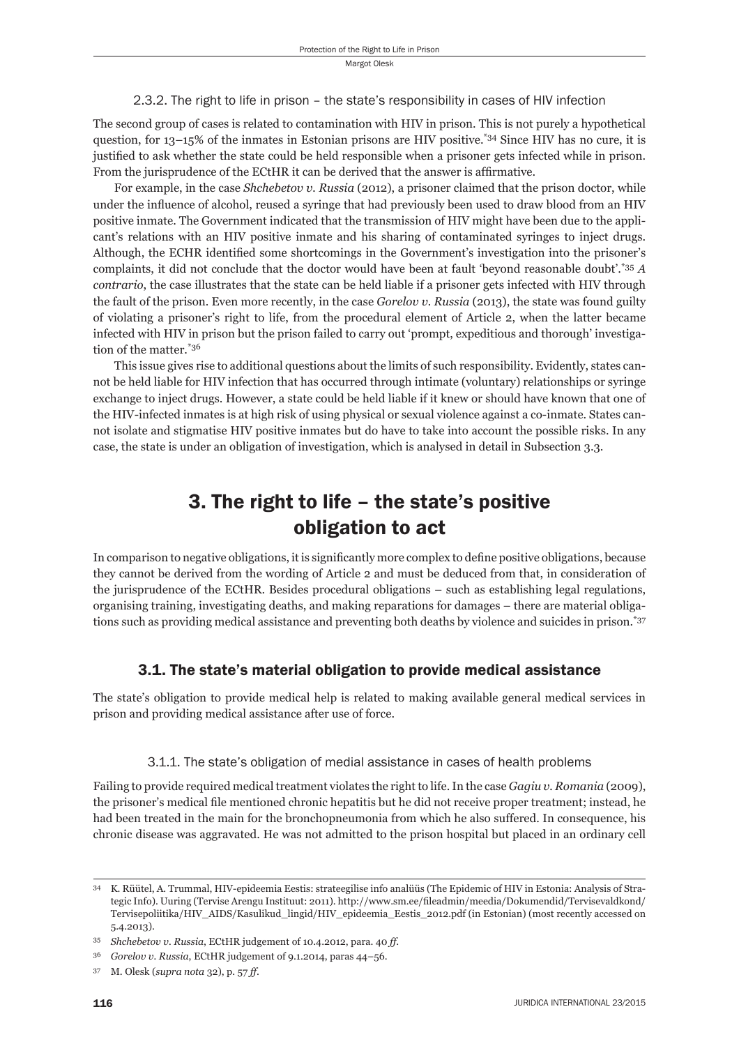### 2.3.2. The right to life in prison – the state's responsibility in cases of HIV infection

The second group of cases is related to contamination with HIV in prison. This is not purely a hypothetical question, for 13–15% of the inmates in Estonian prisons are HIV positive.<sup>\*34</sup> Since HIV has no cure, it is justified to ask whether the state could be held responsible when a prisoner gets infected while in prison. From the jurisprudence of the ECtHR it can be derived that the answer is affirmative.

For example, in the case *Shchebetov v. Russia* (2012), a prisoner claimed that the prison doctor, while under the influence of alcohol, reused a syringe that had previously been used to draw blood from an HIV positive inmate. The Government indicated that the transmission of HIV might have been due to the applicant's relations with an HIV positive inmate and his sharing of contaminated syringes to inject drugs. Although, the ECHR identified some shortcomings in the Government's investigation into the prisoner's complaints, it did not conclude that the doctor would have been at fault 'beyond reasonable doubt'.\*35 *A contrario*, the case illustrates that the state can be held liable if a prisoner gets infected with HIV through the fault of the prison. Even more recently, in the case *Gorelov v. Russia* (2013), the state was found guilty of violating a prisoner's right to life, from the procedural element of Article 2, when the latter became infected with HIV in prison but the prison failed to carry out 'prompt, expeditious and thorough' investigation of the matter.\*36

This issue gives rise to additional questions about the limits of such responsibility. Evidently, states cannot be held liable for HIV infection that has occurred through intimate (voluntary) relationships or syringe exchange to inject drugs. However, a state could be held liable if it knew or should have known that one of the HIV-infected inmates is at high risk of using physical or sexual violence against a co-inmate. States cannot isolate and stigmatise HIV positive inmates but do have to take into account the possible risks. In any case, the state is under an obligation of investigation, which is analysed in detail in Subsection 3.3.

# 3. The right to life – the state's positive obligation to act

In comparison to negative obligations, it is significantly more complex to define positive obligations, because they cannot be derived from the wording of Article 2 and must be deduced from that, in consideration of the jurisprudence of the ECtHR. Besides procedural obligations – such as establishing legal regulations, organising training, investigating deaths, and making reparations for damages – there are material obligations such as providing medical assistance and preventing both deaths by violence and suicides in prison.\*37

### 3.1. The state's material obligation to provide medical assistance

The state's obligation to provide medical help is related to making available general medical services in prison and providing medical assistance after use of force.

### 3.1.1. The state's obligation of medial assistance in cases of health problems

Failing to provide required medical treatment violates the right to life. In the case *Gagiu v. Romania* (2009), the prisoner's medical file mentioned chronic hepatitis but he did not receive proper treatment; instead, he had been treated in the main for the bronchopneumonia from which he also suffered. In consequence, his chronic disease was aggravated. He was not admitted to the prison hospital but placed in an ordinary cell

<sup>34</sup> K. Rüütel, A. Trummal, HIV-epideemia Eestis: strateegilise info analüüs (The Epidemic of HIV in Estonia: Analysis of Strategic Info). Uuring (Tervise Arengu Instituut: 2011). http://www.sm.ee/fi leadmin/meedia/Dokumendid/Tervisevaldkond/ Tervisepoliitika/HIV\_AIDS/Kasulikud\_lingid/HIV\_epideemia\_Eestis\_2012.pdf (in Estonian) (most recently accessed on 5.4.2013).

<sup>35</sup> *Shchebetov v. Russia*, ECtHR judgement of 10.4.2012, para. 40 *ff*.

<sup>36</sup> *Gorelov v. Russia*, ECtHR judgement of 9.1.2014, paras 44–56.

<sup>37</sup> M. Olesk (*supra nota* 32), p. 57 *ff*.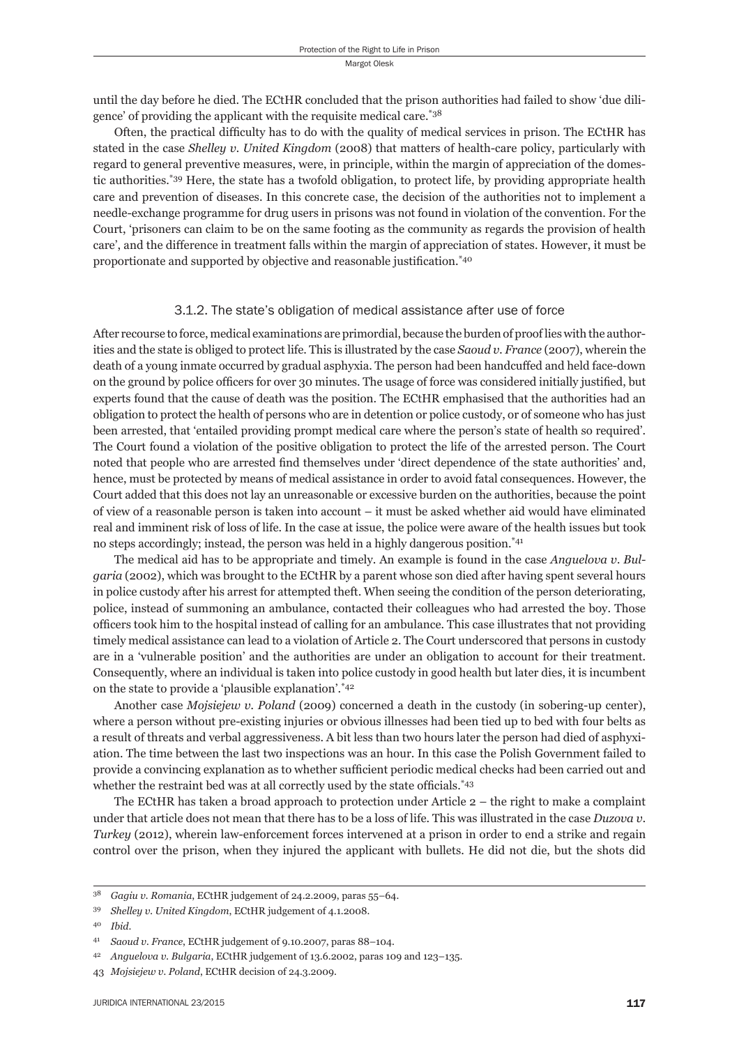until the day before he died. The ECtHR concluded that the prison authorities had failed to show 'due diligence' of providing the applicant with the requisite medical care.\*38

Often, the practical difficulty has to do with the quality of medical services in prison. The ECtHR has stated in the case *Shelley v. United Kingdom* (2008) that matters of health-care policy, particularly with regard to general preventive measures, were, in principle, within the margin of appreciation of the domestic authorities.\*39 Here, the state has a twofold obligation, to protect life, by providing appropriate health care and prevention of diseases. In this concrete case, the decision of the authorities not to implement a needle-exchange programme for drug users in prisons was not found in violation of the convention. For the Court, 'prisoners can claim to be on the same footing as the community as regards the provision of health care', and the difference in treatment falls within the margin of appreciation of states. However, it must be proportionate and supported by objective and reasonable justification.<sup>\*40</sup>

### 3.1.2. The state's obligation of medical assistance after use of force

After recourse to force, medical examinations are primordial, because the burden of proof lies with the authorities and the state is obliged to protect life. This is illustrated by the case *Saoud v. France* (2007), wherein the death of a young inmate occurred by gradual asphyxia. The person had been handcuffed and held face-down on the ground by police officers for over 30 minutes. The usage of force was considered initially justified, but experts found that the cause of death was the position. The ECtHR emphasised that the authorities had an obligation to protect the health of persons who are in detention or police custody, or of someone who has just been arrested, that 'entailed providing prompt medical care where the person's state of health so required'. The Court found a violation of the positive obligation to protect the life of the arrested person. The Court noted that people who are arrested find themselves under 'direct dependence of the state authorities' and, hence, must be protected by means of medical assistance in order to avoid fatal consequences. However, the Court added that this does not lay an unreasonable or excessive burden on the authorities, because the point of view of a reasonable person is taken into account – it must be asked whether aid would have eliminated real and imminent risk of loss of life. In the case at issue, the police were aware of the health issues but took no steps accordingly; instead, the person was held in a highly dangerous position.\*41

The medical aid has to be appropriate and timely. An example is found in the case *Anguelova v. Bulgaria* (2002), which was brought to the ECtHR by a parent whose son died after having spent several hours in police custody after his arrest for attempted theft. When seeing the condition of the person deteriorating, police, instead of summoning an ambulance, contacted their colleagues who had arrested the boy. Those officers took him to the hospital instead of calling for an ambulance. This case illustrates that not providing timely medical assistance can lead to a violation of Article 2. The Court underscored that persons in custody are in a 'vulnerable position' and the authorities are under an obligation to account for their treatment. Consequently, where an individual is taken into police custody in good health but later dies, it is incumbent on the state to provide a 'plausible explanation'.\*42

Another case *Mojsiejew v. Poland* (2009) concerned a death in the custody (in sobering-up center), where a person without pre-existing injuries or obvious illnesses had been tied up to bed with four belts as a result of threats and verbal aggressiveness. A bit less than two hours later the person had died of asphyxiation. The time between the last two inspections was an hour. In this case the Polish Government failed to provide a convincing explanation as to whether sufficient periodic medical checks had been carried out and whether the restraint bed was at all correctly used by the state officials.\*43

The ECtHR has taken a broad approach to protection under Article  $2 -$  the right to make a complaint under that article does not mean that there has to be a loss of life. This was illustrated in the case *Duzova v. Turkey* (2012), wherein law-enforcement forces intervened at a prison in order to end a strike and regain control over the prison, when they injured the applicant with bullets. He did not die, but the shots did

<sup>38</sup> *Gagiu v. Romania*, ECtHR judgement of 24.2.2009, paras 55–64.

<sup>39</sup> *Shelley v. United Kingdom*, ECtHR judgement of 4.1.2008.

<sup>40</sup> *Ibid*.

<sup>41</sup> *Saoud v. France*, ECtHR judgement of 9.10.2007, paras 88–104.

<sup>42</sup> *Anguelova v. Bulgaria*, ECtHR judgement of 13.6.2002, paras 109 and 123–135.

<sup>43</sup> *Mojsiejew v. Poland*, ECtHR decision of 24.3.2009.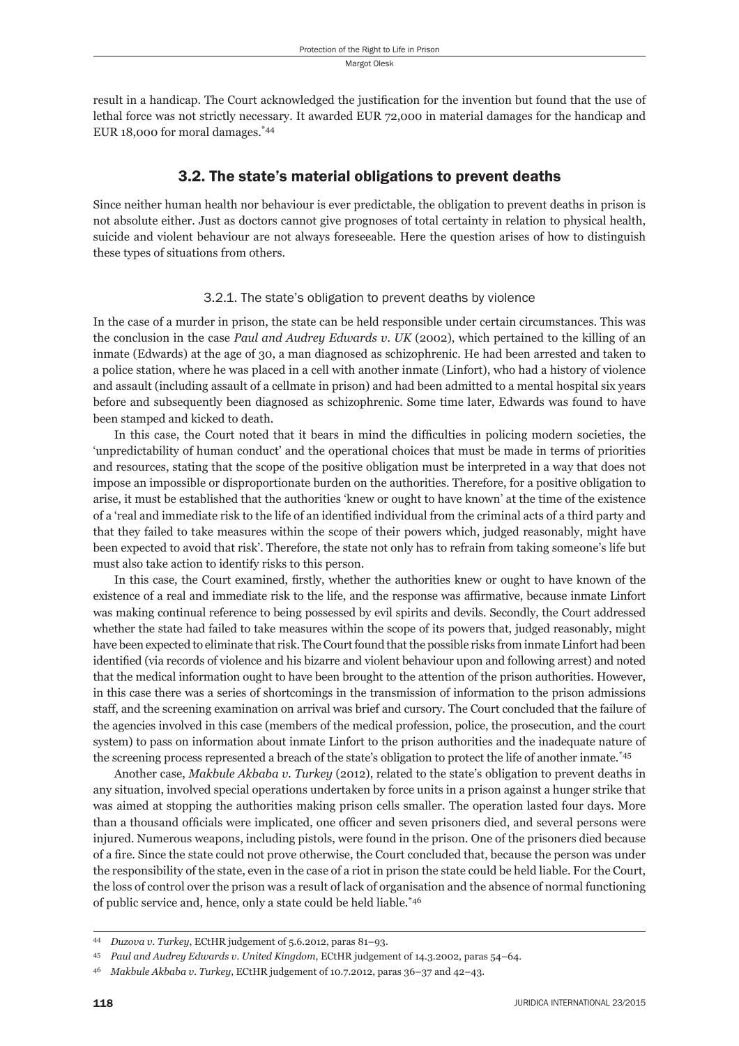result in a handicap. The Court acknowledged the justification for the invention but found that the use of lethal force was not strictly necessary. It awarded EUR 72,000 in material damages for the handicap and EUR 18,000 for moral damages.\*44

### 3.2. The state's material obligations to prevent deaths

Since neither human health nor behaviour is ever predictable, the obligation to prevent deaths in prison is not absolute either. Just as doctors cannot give prognoses of total certainty in relation to physical health, suicide and violent behaviour are not always foreseeable. Here the question arises of how to distinguish these types of situations from others.

### 3.2.1. The state's obligation to prevent deaths by violence

In the case of a murder in prison, the state can be held responsible under certain circumstances. This was the conclusion in the case *Paul and Audrey Edwards v. UK* (2002), which pertained to the killing of an inmate (Edwards) at the age of 30, a man diagnosed as schizophrenic. He had been arrested and taken to a police station, where he was placed in a cell with another inmate (Linfort), who had a history of violence and assault (including assault of a cellmate in prison) and had been admitted to a mental hospital six years before and subsequently been diagnosed as schizophrenic. Some time later, Edwards was found to have been stamped and kicked to death.

In this case, the Court noted that it bears in mind the difficulties in policing modern societies, the 'unpredictability of human conduct' and the operational choices that must be made in terms of priorities and resources, stating that the scope of the positive obligation must be interpreted in a way that does not impose an impossible or disproportionate burden on the authorities. Therefore, for a positive obligation to arise, it must be established that the authorities 'knew or ought to have known' at the time of the existence of a 'real and immediate risk to the life of an identified individual from the criminal acts of a third party and that they failed to take measures within the scope of their powers which, judged reasonably, might have been expected to avoid that risk'. Therefore, the state not only has to refrain from taking someone's life but must also take action to identify risks to this person.

In this case, the Court examined, firstly, whether the authorities knew or ought to have known of the existence of a real and immediate risk to the life, and the response was affirmative, because inmate Linfort was making continual reference to being possessed by evil spirits and devils. Secondly, the Court addressed whether the state had failed to take measures within the scope of its powers that, judged reasonably, might have been expected to eliminate that risk. The Court found that the possible risks from inmate Linfort had been identified (via records of violence and his bizarre and violent behaviour upon and following arrest) and noted that the medical information ought to have been brought to the attention of the prison authorities. However, in this case there was a series of shortcomings in the transmission of information to the prison admissions staff, and the screening examination on arrival was brief and cursory. The Court concluded that the failure of the agencies involved in this case (members of the medical profession, police, the prosecution, and the court system) to pass on information about inmate Linfort to the prison authorities and the inadequate nature of the screening process represented a breach of the state's obligation to protect the life of another inmate.<sup>\*45</sup>

Another case, *Makbule Akbaba v. Turkey* (2012), related to the state's obligation to prevent deaths in any situation, involved special operations undertaken by force units in a prison against a hunger strike that was aimed at stopping the authorities making prison cells smaller. The operation lasted four days. More than a thousand officials were implicated, one officer and seven prisoners died, and several persons were injured. Numerous weapons, including pistols, were found in the prison. One of the prisoners died because of a fire. Since the state could not prove otherwise, the Court concluded that, because the person was under the responsibility of the state, even in the case of a riot in prison the state could be held liable. For the Court, the loss of control over the prison was a result of lack of organisation and the absence of normal functioning of public service and, hence, only a state could be held liable.\*46

<sup>44</sup> *Duzova v. Turkey*, ECtHR judgement of 5.6.2012, paras 81–93.

<sup>45</sup> *Paul and Audrey Edwards v. United Kingdom*, ECtHR judgement of 14.3.2002, paras 54–64.

<sup>46</sup> *Makbule Akbaba v. Turkey*, ECtHR judgement of 10.7.2012, paras 36–37 and 42–43.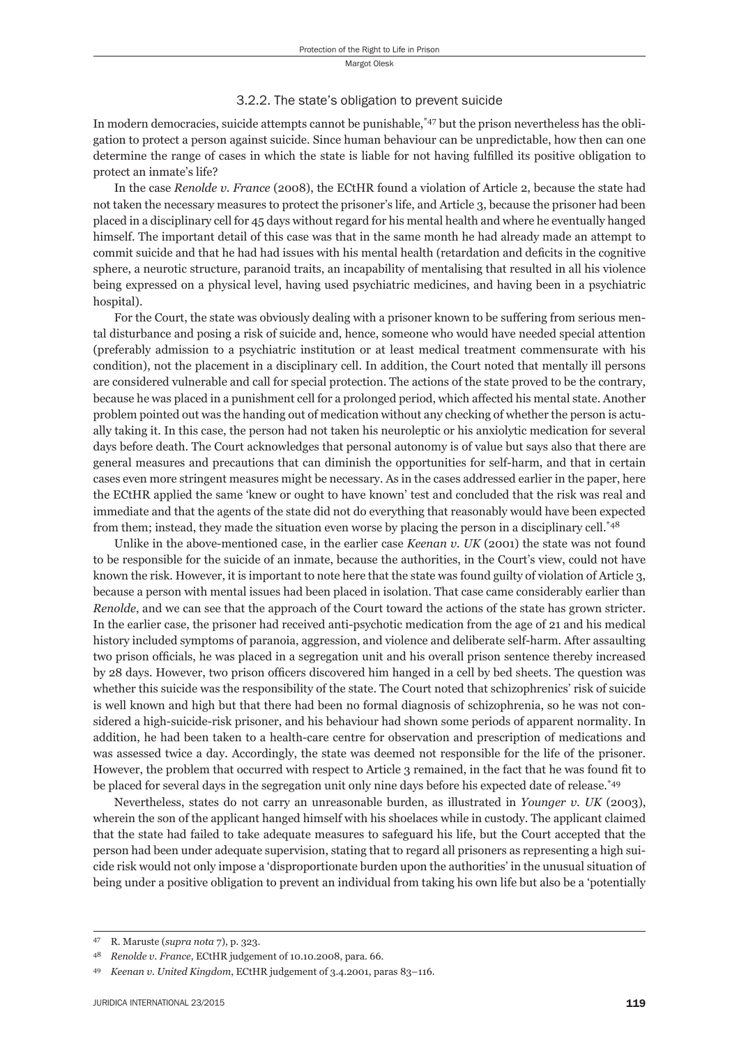#### 3.2.2. The state's obligation to prevent suicide

In modern democracies, suicide attempts cannot be punishable,<sup>\*47</sup> but the prison nevertheless has the obligation to protect a person against suicide. Since human behaviour can be unpredictable, how then can one determine the range of cases in which the state is liable for not having fulfilled its positive obligation to protect an inmate's life?

In the case *Renolde v. France* (2008), the ECtHR found a violation of Article 2, because the state had not taken the necessary measures to protect the prisoner's life, and Article 3, because the prisoner had been placed in a disciplinary cell for 45 days without regard for his mental health and where he eventually hanged himself. The important detail of this case was that in the same month he had already made an attempt to commit suicide and that he had had issues with his mental health (retardation and deficits in the cognitive sphere, a neurotic structure, paranoid traits, an incapability of mentalising that resulted in all his violence being expressed on a physical level, having used psychiatric medicines, and having been in a psychiatric hospital).

For the Court, the state was obviously dealing with a prisoner known to be suffering from serious mental disturbance and posing a risk of suicide and, hence, someone who would have needed special attention (preferably admission to a psychiatric institution or at least medical treatment commensurate with his condition), not the placement in a disciplinary cell. In addition, the Court noted that mentally ill persons are considered vulnerable and call for special protection. The actions of the state proved to be the contrary, because he was placed in a punishment cell for a prolonged period, which affected his mental state. Another problem pointed out was the handing out of medication without any checking of whether the person is actually taking it. In this case, the person had not taken his neuroleptic or his anxiolytic medication for several days before death. The Court acknowledges that personal autonomy is of value but says also that there are general measures and precautions that can diminish the opportunities for self-harm, and that in certain cases even more stringent measures might be necessary. As in the cases addressed earlier in the paper, here the ECtHR applied the same 'knew or ought to have known' test and concluded that the risk was real and immediate and that the agents of the state did not do everything that reasonably would have been expected from them; instead, they made the situation even worse by placing the person in a disciplinary cell.\*48

Unlike in the above-mentioned case, in the earlier case *Keenan v. UK* (2001) the state was not found to be responsible for the suicide of an inmate, because the authorities, in the Court's view, could not have known the risk. However, it is important to note here that the state was found guilty of violation of Article 3, because a person with mental issues had been placed in isolation. That case came considerably earlier than *Renolde*, and we can see that the approach of the Court toward the actions of the state has grown stricter. In the earlier case, the prisoner had received anti-psychotic medication from the age of 21 and his medical history included symptoms of paranoia, aggression, and violence and deliberate self-harm. After assaulting two prison officials, he was placed in a segregation unit and his overall prison sentence thereby increased by 28 days. However, two prison officers discovered him hanged in a cell by bed sheets. The question was whether this suicide was the responsibility of the state. The Court noted that schizophrenics' risk of suicide is well known and high but that there had been no formal diagnosis of schizophrenia, so he was not considered a high-suicide-risk prisoner, and his behaviour had shown some periods of apparent normality. In addition, he had been taken to a health-care centre for observation and prescription of medications and was assessed twice a day. Accordingly, the state was deemed not responsible for the life of the prisoner. However, the problem that occurred with respect to Article 3 remained, in the fact that he was found fit to be placed for several days in the segregation unit only nine days before his expected date of release.\*49

Nevertheless, states do not carry an unreasonable burden, as illustrated in *Younger v. UK* (2003), wherein the son of the applicant hanged himself with his shoelaces while in custody. The applicant claimed that the state had failed to take adequate measures to safeguard his life, but the Court accepted that the person had been under adequate supervision, stating that to regard all prisoners as representing a high suicide risk would not only impose a 'disproportionate burden upon the authorities' in the unusual situation of being under a positive obligation to prevent an individual from taking his own life but also be a 'potentially

<sup>47</sup> R. Maruste (*supra nota* 7), p. 323.

<sup>48</sup> *Renolde v. France*, ECtHR judgement of 10.10.2008, para. 66.

<sup>49</sup> *Keenan v. United Kingdom*, ECtHR judgement of 3.4.2001, paras 83–116.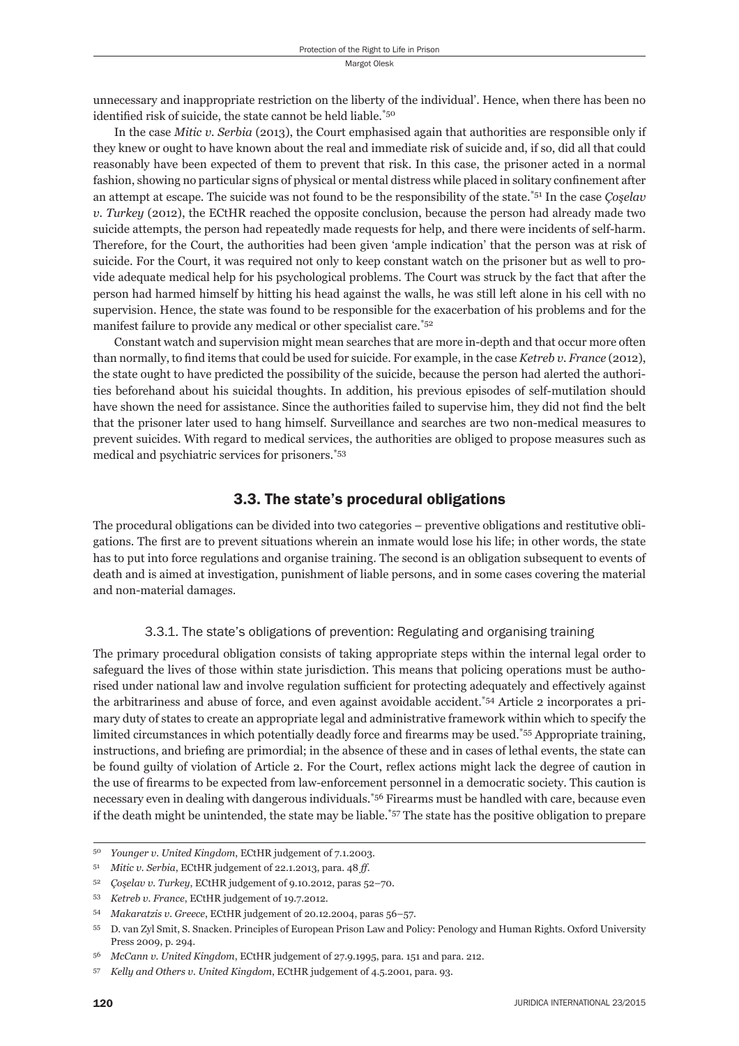unnecessary and inappropriate restriction on the liberty of the individual'. Hence, when there has been no identified risk of suicide, the state cannot be held liable.<sup>\*50</sup>

In the case *Mitic v. Serbia* (2013), the Court emphasised again that authorities are responsible only if they knew or ought to have known about the real and immediate risk of suicide and, if so, did all that could reasonably have been expected of them to prevent that risk. In this case, the prisoner acted in a normal fashion, showing no particular signs of physical or mental distress while placed in solitary confinement after an attempt at escape. The suicide was not found to be the responsibility of the state.\*51 In the case *Çoşelav v. Turkey* (2012), the ECtHR reached the opposite conclusion, because the person had already made two suicide attempts, the person had repeatedly made requests for help, and there were incidents of self-harm. Therefore, for the Court, the authorities had been given 'ample indication' that the person was at risk of suicide. For the Court, it was required not only to keep constant watch on the prisoner but as well to provide adequate medical help for his psychological problems. The Court was struck by the fact that after the person had harmed himself by hitting his head against the walls, he was still left alone in his cell with no supervision. Hence, the state was found to be responsible for the exacerbation of his problems and for the manifest failure to provide any medical or other specialist care.\*52

Constant watch and supervision might mean searches that are more in-depth and that occur more often than normally, to find items that could be used for suicide. For example, in the case *Ketreb v. France* (2012), the state ought to have predicted the possibility of the suicide, because the person had alerted the authorities beforehand about his suicidal thoughts. In addition, his previous episodes of self-mutilation should have shown the need for assistance. Since the authorities failed to supervise him, they did not find the belt that the prisoner later used to hang himself. Surveillance and searches are two non-medical measures to prevent suicides. With regard to medical services, the authorities are obliged to propose measures such as medical and psychiatric services for prisoners.\*53

### 3.3. The state's procedural obligations

The procedural obligations can be divided into two categories – preventive obligations and restitutive obligations. The first are to prevent situations wherein an inmate would lose his life; in other words, the state has to put into force regulations and organise training. The second is an obligation subsequent to events of death and is aimed at investigation, punishment of liable persons, and in some cases covering the material and non-material damages.

### 3.3.1. The state's obligations of prevention: Regulating and organising training

The primary procedural obligation consists of taking appropriate steps within the internal legal order to safeguard the lives of those within state jurisdiction. This means that policing operations must be authorised under national law and involve regulation sufficient for protecting adequately and effectively against the arbitrariness and abuse of force, and even against avoidable accident.\*54 Article 2 incorporates a primary duty of states to create an appropriate legal and administrative framework within which to specify the limited circumstances in which potentially deadly force and firearms may be used.\*55 Appropriate training, instructions, and briefing are primordial; in the absence of these and in cases of lethal events, the state can be found guilty of violation of Article 2. For the Court, reflex actions might lack the degree of caution in the use of firearms to be expected from law-enforcement personnel in a democratic society. This caution is necessary even in dealing with dangerous individuals.\*56 Firearms must be handled with care, because even if the death might be unintended, the state may be liable.\*57 The state has the positive obligation to prepare

<sup>50</sup> *Younger v. United Kingdom*, ECtHR judgement of 7.1.2003.

<sup>51</sup> *Mitic v. Serbia*, ECtHR judgement of 22.1.2013, para. 48 *ff*.

<sup>52</sup> *Çoşelav v. Turkey*, ECtHR judgement of 9.10.2012, paras 52–70.

<sup>53</sup> *Ketreb v. France*, ECtHR judgement of 19.7.2012.

<sup>54</sup> *Makaratzis v. Greece*, ECtHR judgement of 20.12.2004, paras 56–57.

<sup>55</sup> D. van Zyl Smit, S. Snacken. Principles of European Prison Law and Policy: Penology and Human Rights. Oxford University Press 2009, p. 294.

<sup>56</sup> *McCann v. United Kingdom*, ECtHR judgement of 27.9.1995, para. 151 and para. 212.

<sup>57</sup> *Kelly and Others v. United Kingdom*, ECtHR judgement of 4.5.2001, para. 93.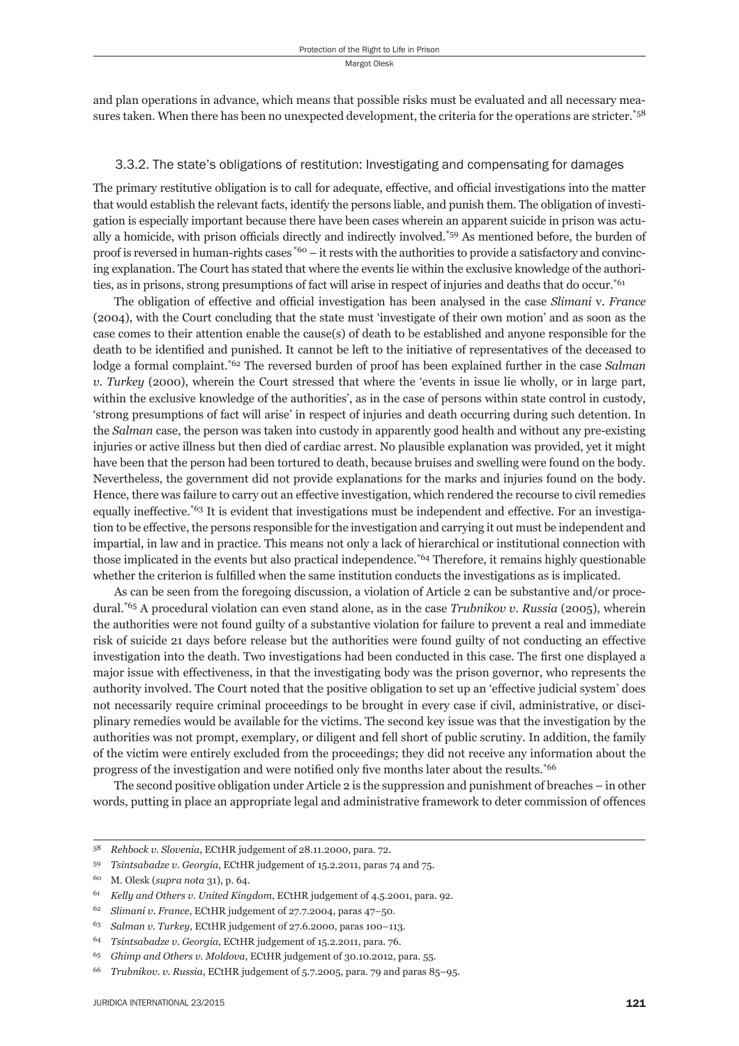and plan operations in advance, which means that possible risks must be evaluated and all necessary measures taken. When there has been no unexpected development, the criteria for the operations are stricter.<sup>\*58</sup>

### 3.3.2. The state's obligations of restitution: Investigating and compensating for damages

The primary restitutive obligation is to call for adequate, effective, and official investigations into the matter that would establish the relevant facts, identify the persons liable, and punish them. The obligation of investigation is especially important because there have been cases wherein an apparent suicide in prison was actually a homicide, with prison officials directly and indirectly involved.\*59 As mentioned before, the burden of proof is reversed in human-rights cases  $*60 - it$  rests with the authorities to provide a satisfactory and convincing explanation. The Court has stated that where the events lie within the exclusive knowledge of the authorities, as in prisons, strong presumptions of fact will arise in respect of injuries and deaths that do occur.<sup>\*61</sup>

The obligation of effective and official investigation has been analysed in the case *Slimani* v. *France* (2004), with the Court concluding that the state must 'investigate of their own motion' and as soon as the case comes to their attention enable the cause(s) of death to be established and anyone responsible for the death to be identified and punished. It cannot be left to the initiative of representatives of the deceased to lodge a formal complaint.\*62 The reversed burden of proof has been explained further in the case *Salman v. Turkey* (2000), wherein the Court stressed that where the 'events in issue lie wholly, or in large part, within the exclusive knowledge of the authorities', as in the case of persons within state control in custody, 'strong presumptions of fact will arise' in respect of injuries and death occurring during such detention. In the *Salman* case, the person was taken into custody in apparently good health and without any pre-existing injuries or active illness but then died of cardiac arrest. No plausible explanation was provided, yet it might have been that the person had been tortured to death, because bruises and swelling were found on the body. Nevertheless, the government did not provide explanations for the marks and injuries found on the body. Hence, there was failure to carry out an effective investigation, which rendered the recourse to civil remedies equally ineffective.<sup>\*63</sup> It is evident that investigations must be independent and effective. For an investigation to be effective, the persons responsible for the investigation and carrying it out must be independent and impartial, in law and in practice. This means not only a lack of hierarchical or institutional connection with those implicated in the events but also practical independence.\*64 Therefore, it remains highly questionable whether the criterion is fulfilled when the same institution conducts the investigations as is implicated.

As can be seen from the foregoing discussion, a violation of Article 2 can be substantive and/or procedural.\*65 A procedural violation can even stand alone, as in the case *Trubnikov v. Russia* (2005), wherein the authorities were not found guilty of a substantive violation for failure to prevent a real and immediate risk of suicide 21 days before release but the authorities were found guilty of not conducting an effective investigation into the death. Two investigations had been conducted in this case. The first one displayed a major issue with effectiveness, in that the investigating body was the prison governor, who represents the authority involved. The Court noted that the positive obligation to set up an 'effective judicial system' does not necessarily require criminal proceedings to be brought in every case if civil, administrative, or disciplinary remedies would be available for the victims. The second key issue was that the investigation by the authorities was not prompt, exemplary, or diligent and fell short of public scrutiny. In addition, the family of the victim were entirely excluded from the proceedings; they did not receive any information about the progress of the investigation and were notified only five months later about the results.<sup>\*66</sup>

The second positive obligation under Article 2 is the suppression and punishment of breaches – in other words, putting in place an appropriate legal and administrative framework to deter commission of offences

<sup>58</sup> *Rehbock v. Slovenia*, ECtHR judgement of 28.11.2000, para. 72.

<sup>59</sup> *Tsintsabadze v. Georgia*, ECtHR judgement of 15.2.2011, paras 74 and 75.

<sup>60</sup> M. Olesk (*supra nota* 31), p. 64.

<sup>61</sup> *Kelly and Others v. United Kingdom*, ECtHR judgement of 4.5.2001, para. 92.

<sup>62</sup> *Slimani v. France*, ECtHR judgement of 27.7.2004, paras 47–50.

<sup>63</sup> *Salman v. Turkey*, ECtHR judgement of 27.6.2000, paras 100–113.

<sup>64</sup> *Tsintsabadze v. Georgia*, ECtHR judgement of 15.2.2011, para. 76.

<sup>65</sup> *Ghimp and Others v. Moldova*, ECtHR judgement of 30.10.2012, para. 55.

<sup>66</sup> *Trubnikov. v. Russia*, ECtHR judgement of 5.7.2005, para. 79 and paras 85–95.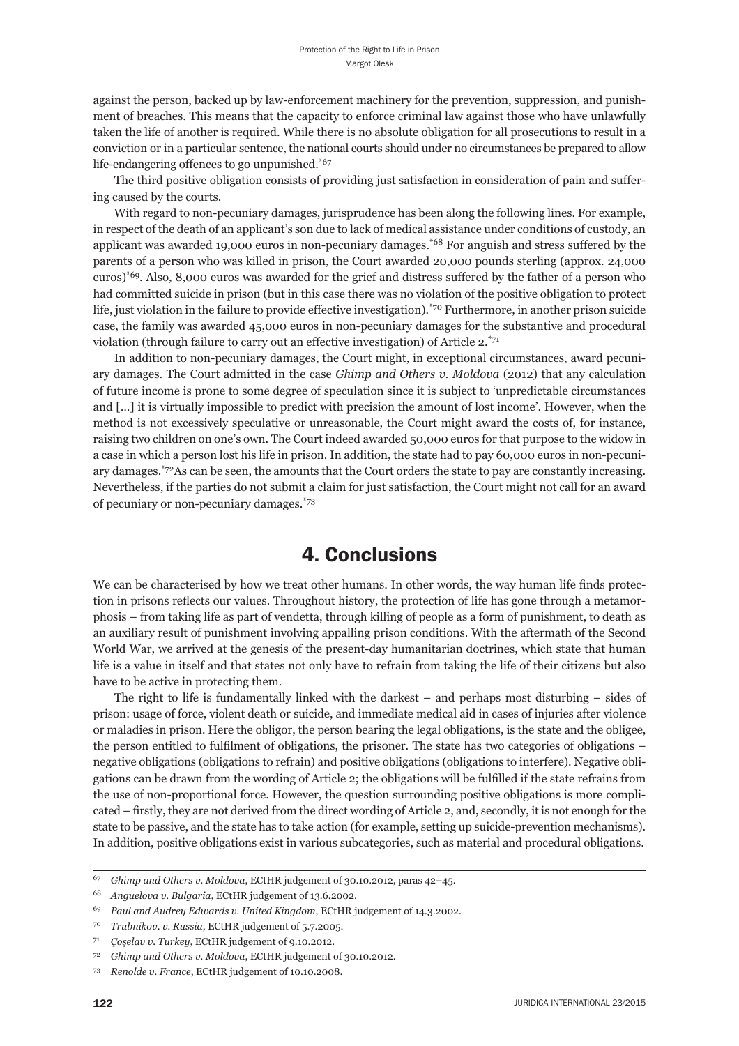against the person, backed up by law-enforcement machinery for the prevention, suppression, and punishment of breaches. This means that the capacity to enforce criminal law against those who have unlawfully taken the life of another is required. While there is no absolute obligation for all prosecutions to result in a conviction or in a particular sentence, the national courts should under no circumstances be prepared to allow life-endangering offences to go unpunished.\*67

The third positive obligation consists of providing just satisfaction in consideration of pain and suffering caused by the courts.

With regard to non-pecuniary damages, jurisprudence has been along the following lines. For example, in respect of the death of an applicant's son due to lack of medical assistance under conditions of custody, an applicant was awarded 19,000 euros in non-pecuniary damages.\*68 For anguish and stress suffered by the parents of a person who was killed in prison, the Court awarded 20,000 pounds sterling (approx. 24,000 euros)\*69. Also, 8,000 euros was awarded for the grief and distress suffered by the father of a person who had committed suicide in prison (but in this case there was no violation of the positive obligation to protect life, just violation in the failure to provide effective investigation).\*70 Furthermore, in another prison suicide case, the family was awarded 45,000 euros in non-pecuniary damages for the substantive and procedural violation (through failure to carry out an effective investigation) of Article 2.\*71

In addition to non-pecuniary damages, the Court might, in exceptional circumstances, award pecuniary damages. The Court admitted in the case *Ghimp and Others v. Moldova* (2012) that any calculation of future income is prone to some degree of speculation since it is subject to 'unpredictable circumstances and […] it is virtually impossible to predict with precision the amount of lost income'. However, when the method is not excessively speculative or unreasonable, the Court might award the costs of, for instance, raising two children on one's own. The Court indeed awarded 50,000 euros for that purpose to the widow in a case in which a person lost his life in prison. In addition, the state had to pay 60,000 euros in non-pecuniary damages.\*72As can be seen, the amounts that the Court orders the state to pay are constantly increasing. Nevertheless, if the parties do not submit a claim for just satisfaction, the Court might not call for an award of pecuniary or non-pecuniary damages.\*73

# 4. Conclusions

We can be characterised by how we treat other humans. In other words, the way human life finds protection in prisons reflects our values. Throughout history, the protection of life has gone through a metamorphosis – from taking life as part of vendetta, through killing of people as a form of punishment, to death as an auxiliary result of punishment involving appalling prison conditions. With the aftermath of the Second World War, we arrived at the genesis of the present-day humanitarian doctrines, which state that human life is a value in itself and that states not only have to refrain from taking the life of their citizens but also have to be active in protecting them.

The right to life is fundamentally linked with the darkest – and perhaps most disturbing – sides of prison: usage of force, violent death or suicide, and immediate medical aid in cases of injuries after violence or maladies in prison. Here the obligor, the person bearing the legal obligations, is the state and the obligee, the person entitled to fulfilment of obligations, the prisoner. The state has two categories of obligations  $$ negative obligations (obligations to refrain) and positive obligations (obligations to interfere). Negative obligations can be drawn from the wording of Article 2; the obligations will be fulfilled if the state refrains from the use of non-proportional force. However, the question surrounding positive obligations is more complicated – firstly, they are not derived from the direct wording of Article 2, and, secondly, it is not enough for the state to be passive, and the state has to take action (for example, setting up suicide-prevention mechanisms). In addition, positive obligations exist in various subcategories, such as material and procedural obligations.

<sup>67</sup> *Ghimp and Others v. Moldova*, ECtHR judgement of 30.10.2012, paras 42–45.

<sup>68</sup> *Anguelova v. Bulgaria*, ECtHR judgement of 13.6.2002.

<sup>69</sup> *Paul and Audrey Edwards v. United Kingdom*, ECtHR judgement of 14.3.2002.

<sup>70</sup> *Trubnikov. v. Russia*, ECtHR judgement of 5.7.2005.

<sup>71</sup> *Çoşelav v. Turkey*, ECtHR judgement of 9.10.2012.

<sup>72</sup> *Ghimp and Others v. Moldova*, ECtHR judgement of 30.10.2012.

<sup>73</sup> *Renolde v. France*, ECtHR judgement of 10.10.2008.